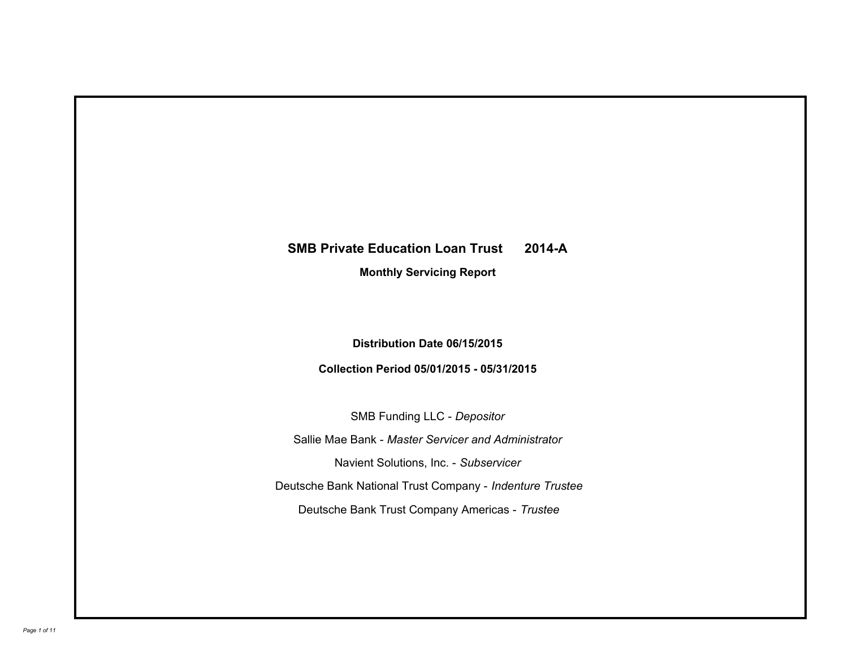# **SMB Private Education Loan Trust 2014-A**

**Monthly Servicing Report**

**Distribution Date 06/15/2015**

**Collection Period 05/01/2015 - 05/31/2015**

SMB Funding LLC - *Depositor* Sallie Mae Bank - *Master Servicer and Administrator* Deutsche Bank National Trust Company - *Indenture Trustee* Deutsche Bank Trust Company Americas - *Trustee* Navient Solutions, Inc. - *Subservicer*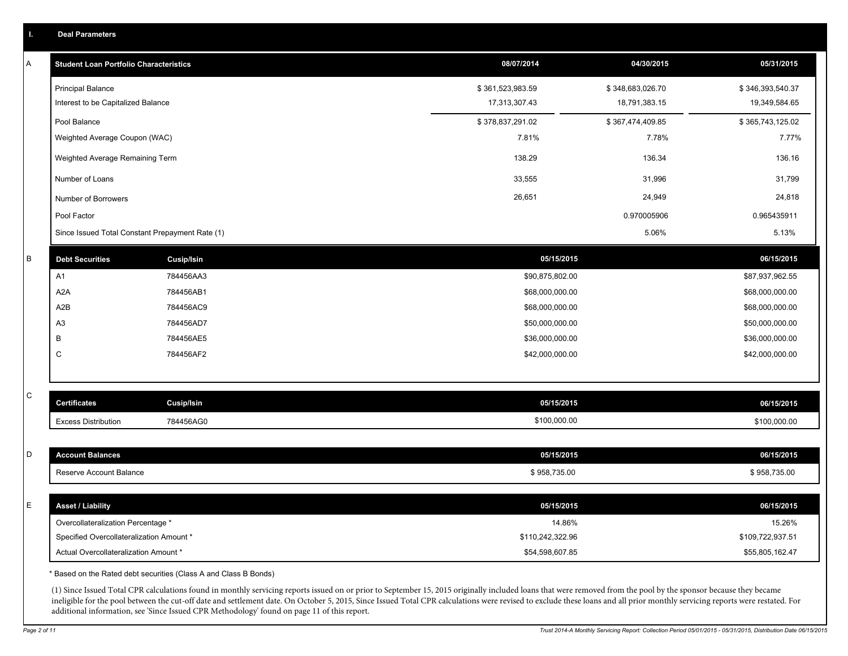| <b>Student Loan Portfolio Characteristics</b> |                                                 | 08/07/2014       | 04/30/2015       | 05/31/2015       |
|-----------------------------------------------|-------------------------------------------------|------------------|------------------|------------------|
| <b>Principal Balance</b>                      |                                                 | \$361,523,983.59 | \$348,683,026.70 | \$346,393,540.37 |
| Interest to be Capitalized Balance            |                                                 | 17,313,307.43    | 18,791,383.15    | 19,349,584.65    |
| Pool Balance                                  |                                                 | \$378,837,291.02 | \$367,474,409.85 | \$365,743,125.02 |
| Weighted Average Coupon (WAC)                 |                                                 | 7.81%            | 7.78%            | 7.77%            |
| Weighted Average Remaining Term               |                                                 | 138.29           | 136.34           | 136.16           |
| Number of Loans                               |                                                 | 33,555           | 31,996           | 31,799           |
| Number of Borrowers                           |                                                 | 26,651           | 24,949           | 24,818           |
| Pool Factor                                   |                                                 |                  | 0.970005906      | 0.965435911      |
|                                               | Since Issued Total Constant Prepayment Rate (1) |                  | 5.06%            | 5.13%            |
| <b>Debt Securities</b>                        | Cusip/Isin                                      | 05/15/2015       |                  | 06/15/2015       |
| A1                                            | 784456AA3                                       | \$90,875,802.00  |                  | \$87,937,962.55  |
| A <sub>2</sub> A                              | 784456AB1                                       | \$68,000,000.00  |                  | \$68,000,000.00  |
| A2B                                           | 784456AC9                                       |                  | \$68,000,000.00  |                  |
| A3                                            | 784456AD7                                       |                  | \$50,000,000.00  |                  |
| B                                             | 784456AE5                                       | \$36,000,000.00  |                  | \$36,000,000.00  |
| C                                             | 784456AF2                                       | \$42,000,000.00  |                  | \$42,000,000.00  |
| <b>Certificates</b>                           | <b>Cusip/Isin</b>                               | 05/15/2015       |                  | 06/15/2015       |
| <b>Excess Distribution</b>                    | 784456AG0                                       | \$100,000.00     |                  | \$100,000.00     |
|                                               |                                                 |                  |                  |                  |
| <b>Account Balances</b>                       |                                                 | 05/15/2015       |                  | 06/15/2015       |
| Reserve Account Balance                       |                                                 | \$958,735.00     |                  | \$958,735.00     |
| <b>Asset / Liability</b>                      |                                                 | 05/15/2015       |                  | 06/15/2015       |
| Overcollateralization Percentage *            |                                                 | 14.86%           |                  | 15.26%           |
| Specified Overcollateralization Amount *      |                                                 | \$110,242,322.96 |                  | \$109,722,937.51 |
|                                               |                                                 |                  | \$54,598,607.85  |                  |

ineligible for the pool between the cut-off date and settlement date. On October 5, 2015, Since Issued Total CPR calculations were revised to exclude these loans and all prior monthly servicing reports were restated. For additional information, see 'Since Issued CPR Methodology' found on page 11 of this report.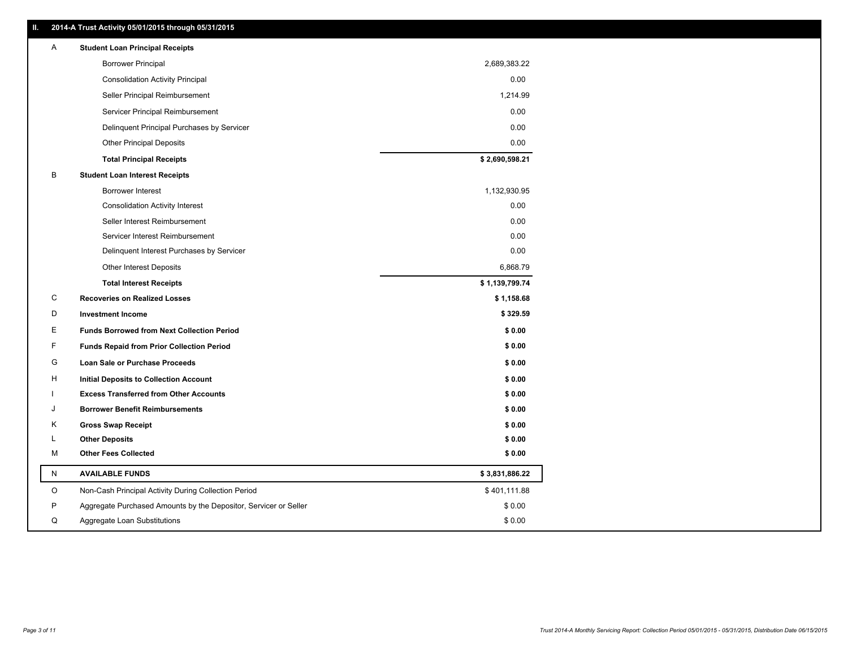| Α       | <b>Student Loan Principal Receipts</b>                           |                |
|---------|------------------------------------------------------------------|----------------|
|         | <b>Borrower Principal</b>                                        | 2,689,383.22   |
|         | <b>Consolidation Activity Principal</b>                          | 0.00           |
|         | Seller Principal Reimbursement                                   | 1,214.99       |
|         | Servicer Principal Reimbursement                                 | 0.00           |
|         | Delinquent Principal Purchases by Servicer                       | 0.00           |
|         | <b>Other Principal Deposits</b>                                  | 0.00           |
|         | <b>Total Principal Receipts</b>                                  | \$2,690,598.21 |
| в       | <b>Student Loan Interest Receipts</b>                            |                |
|         | Borrower Interest                                                | 1,132,930.95   |
|         | <b>Consolidation Activity Interest</b>                           | 0.00           |
|         | Seller Interest Reimbursement                                    | 0.00           |
|         | Servicer Interest Reimbursement                                  | 0.00           |
|         | Delinquent Interest Purchases by Servicer                        | 0.00           |
|         | Other Interest Deposits                                          | 6,868.79       |
|         | <b>Total Interest Receipts</b>                                   | \$1,139,799.74 |
| С       | <b>Recoveries on Realized Losses</b>                             | \$1,158.68     |
| D       | <b>Investment Income</b>                                         | \$329.59       |
| Е       | <b>Funds Borrowed from Next Collection Period</b>                | \$0.00         |
| F       | <b>Funds Repaid from Prior Collection Period</b>                 | \$0.00         |
| G       | <b>Loan Sale or Purchase Proceeds</b>                            | \$0.00         |
|         |                                                                  |                |
| н       | Initial Deposits to Collection Account                           | \$0.00         |
|         | <b>Excess Transferred from Other Accounts</b>                    | \$0.00         |
| J       | <b>Borrower Benefit Reimbursements</b>                           | \$0.00         |
| Κ       | <b>Gross Swap Receipt</b>                                        | \$0.00         |
| L       | <b>Other Deposits</b>                                            | \$0.00         |
| М       | <b>Other Fees Collected</b>                                      | \$0.00         |
| N       | <b>AVAILABLE FUNDS</b>                                           | \$3,831,886.22 |
| $\circ$ | Non-Cash Principal Activity During Collection Period             | \$401,111.88   |
| P       | Aggregate Purchased Amounts by the Depositor, Servicer or Seller | \$0.00         |

**II. 2014-A Trust Activity 05/01/2015 through 05/31/2015**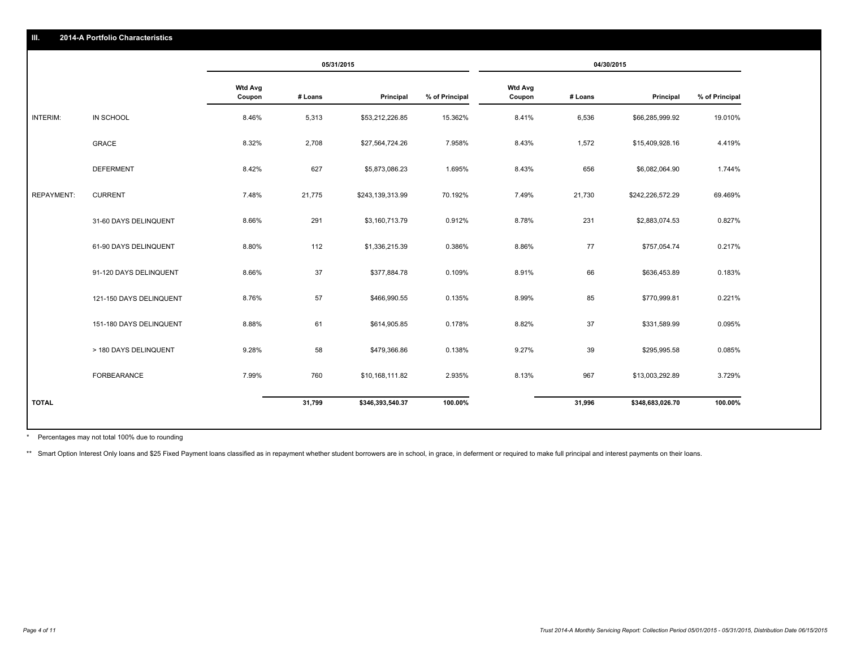|                   |                         | 05/31/2015               |         | 04/30/2015       |                |                          |         |                  |                |
|-------------------|-------------------------|--------------------------|---------|------------------|----------------|--------------------------|---------|------------------|----------------|
|                   |                         | <b>Wtd Avg</b><br>Coupon | # Loans | Principal        | % of Principal | <b>Wtd Avg</b><br>Coupon | # Loans | Principal        | % of Principal |
| INTERIM:          | IN SCHOOL               | 8.46%                    | 5,313   | \$53,212,226.85  | 15.362%        | 8.41%                    | 6,536   | \$66,285,999.92  | 19.010%        |
|                   | <b>GRACE</b>            | 8.32%                    | 2,708   | \$27,564,724.26  | 7.958%         | 8.43%                    | 1,572   | \$15,409,928.16  | 4.419%         |
|                   | <b>DEFERMENT</b>        | 8.42%                    | 627     | \$5,873,086.23   | 1.695%         | 8.43%                    | 656     | \$6,082,064.90   | 1.744%         |
| <b>REPAYMENT:</b> | <b>CURRENT</b>          | 7.48%                    | 21,775  | \$243,139,313.99 | 70.192%        | 7.49%                    | 21,730  | \$242,226,572.29 | 69.469%        |
|                   | 31-60 DAYS DELINQUENT   | 8.66%                    | 291     | \$3,160,713.79   | 0.912%         | 8.78%                    | 231     | \$2,883,074.53   | 0.827%         |
|                   | 61-90 DAYS DELINQUENT   | 8.80%                    | 112     | \$1,336,215.39   | 0.386%         | 8.86%                    | 77      | \$757,054.74     | 0.217%         |
|                   | 91-120 DAYS DELINQUENT  | 8.66%                    | 37      | \$377,884.78     | 0.109%         | 8.91%                    | 66      | \$636,453.89     | 0.183%         |
|                   | 121-150 DAYS DELINQUENT | 8.76%                    | 57      | \$466,990.55     | 0.135%         | 8.99%                    | 85      | \$770,999.81     | 0.221%         |
|                   | 151-180 DAYS DELINQUENT | 8.88%                    | 61      | \$614,905.85     | 0.178%         | 8.82%                    | 37      | \$331,589.99     | 0.095%         |
|                   | > 180 DAYS DELINQUENT   | 9.28%                    | 58      | \$479,366.86     | 0.138%         | 9.27%                    | 39      | \$295,995.58     | 0.085%         |
|                   | FORBEARANCE             | 7.99%                    | 760     | \$10,168,111.82  | 2.935%         | 8.13%                    | 967     | \$13,003,292.89  | 3.729%         |
| <b>TOTAL</b>      |                         |                          | 31,799  | \$346,393,540.37 | 100.00%        |                          | 31,996  | \$348,683,026.70 | 100.00%        |

Percentages may not total 100% due to rounding \*

\*\* Smart Option Interest Only loans and \$25 Fixed Payment loans classified as in repayment whether student borrowers are in school, in grace, in deferment or required to make full principal and interest payments on their l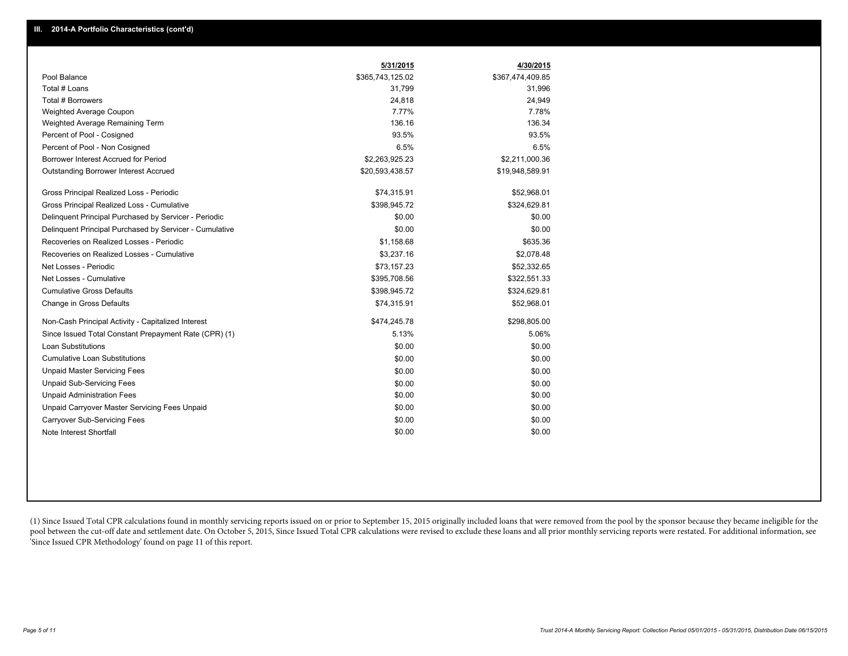|                                                         | 5/31/2015        | 4/30/2015        |
|---------------------------------------------------------|------------------|------------------|
| Pool Balance                                            | \$365,743,125.02 | \$367,474,409.85 |
| Total # Loans                                           | 31,799           | 31,996           |
| Total # Borrowers                                       | 24,818           | 24,949           |
| Weighted Average Coupon                                 | 7.77%            | 7.78%            |
| Weighted Average Remaining Term                         | 136.16           | 136.34           |
| Percent of Pool - Cosigned                              | 93.5%            | 93.5%            |
| Percent of Pool - Non Cosigned                          | 6.5%             | 6.5%             |
| Borrower Interest Accrued for Period                    | \$2,263,925.23   | \$2,211,000.36   |
| Outstanding Borrower Interest Accrued                   | \$20,593,438.57  | \$19,948,589.91  |
| Gross Principal Realized Loss - Periodic                | \$74,315.91      | \$52,968.01      |
| Gross Principal Realized Loss - Cumulative              | \$398,945.72     | \$324,629.81     |
| Delinquent Principal Purchased by Servicer - Periodic   | \$0.00           | \$0.00           |
| Delinguent Principal Purchased by Servicer - Cumulative | \$0.00           | \$0.00           |
| Recoveries on Realized Losses - Periodic                | \$1,158.68       | \$635.36         |
| Recoveries on Realized Losses - Cumulative              | \$3,237.16       | \$2,078.48       |
| Net Losses - Periodic                                   | \$73,157.23      | \$52,332.65      |
| Net Losses - Cumulative                                 | \$395,708.56     | \$322,551.33     |
| <b>Cumulative Gross Defaults</b>                        | \$398,945.72     | \$324,629.81     |
| Change in Gross Defaults                                | \$74,315.91      | \$52,968.01      |
| Non-Cash Principal Activity - Capitalized Interest      | \$474,245.78     | \$298,805.00     |
| Since Issued Total Constant Prepayment Rate (CPR) (1)   | 5.13%            | 5.06%            |
| <b>Loan Substitutions</b>                               | \$0.00           | \$0.00           |
| <b>Cumulative Loan Substitutions</b>                    | \$0.00           | \$0.00           |
| <b>Unpaid Master Servicing Fees</b>                     | \$0.00           | \$0.00           |
| <b>Unpaid Sub-Servicing Fees</b>                        | \$0.00           | \$0.00           |
| <b>Unpaid Administration Fees</b>                       | \$0.00           | \$0.00           |
| Unpaid Carryover Master Servicing Fees Unpaid           | \$0.00           | \$0.00           |
| Carryover Sub-Servicing Fees                            | \$0.00           | \$0.00           |
| Note Interest Shortfall                                 | \$0.00           | \$0.00           |

(1) Since Issued Total CPR calculations found in monthly servicing reports issued on or prior to September 15, 2015 originally included loans that were removed from the pool by the sponsor because they became ineligible fo pool between the cut-off date and settlement date. On October 5, 2015, Since Issued Total CPR calculations were revised to exclude these loans and all prior monthly servicing reports were restated. For additional informati 'Since Issued CPR Methodology' found on page 11 of this report.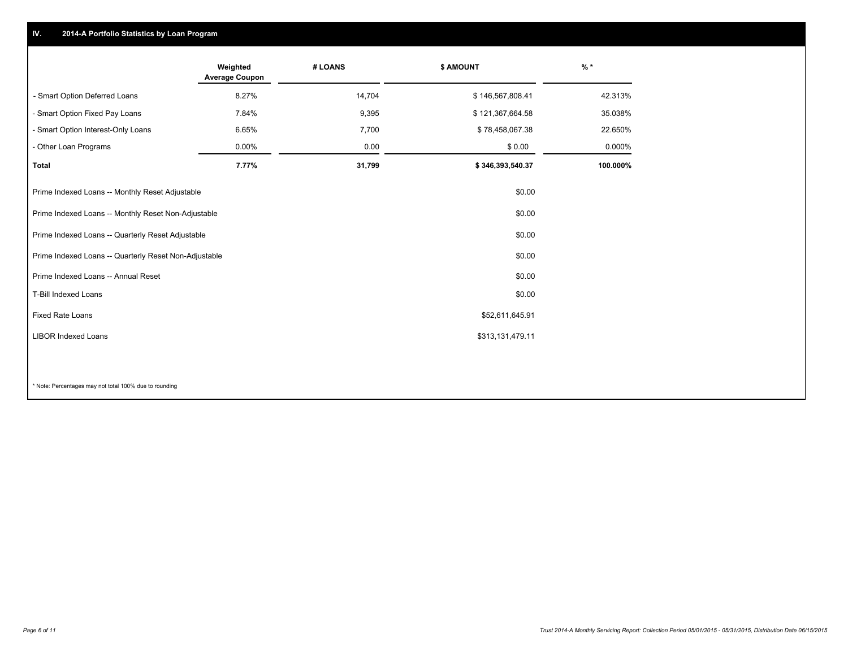### **IV. 2014-A Portfolio Statistics by Loan Program**

|                                                       | Weighted<br><b>Average Coupon</b> | # LOANS | \$ AMOUNT        | $%$ *    |
|-------------------------------------------------------|-----------------------------------|---------|------------------|----------|
| - Smart Option Deferred Loans                         | 8.27%                             | 14,704  | \$146,567,808.41 | 42.313%  |
| - Smart Option Fixed Pay Loans                        | 7.84%                             | 9,395   | \$121,367,664.58 | 35.038%  |
| - Smart Option Interest-Only Loans                    | 6.65%                             | 7,700   | \$78,458,067.38  | 22.650%  |
| - Other Loan Programs                                 | $0.00\%$                          | 0.00    | \$0.00           | 0.000%   |
| <b>Total</b>                                          | 7.77%                             | 31,799  | \$346,393,540.37 | 100.000% |
| Prime Indexed Loans -- Monthly Reset Adjustable       |                                   |         | \$0.00           |          |
| Prime Indexed Loans -- Monthly Reset Non-Adjustable   |                                   |         | \$0.00           |          |
| Prime Indexed Loans -- Quarterly Reset Adjustable     |                                   |         | \$0.00           |          |
| Prime Indexed Loans -- Quarterly Reset Non-Adjustable |                                   |         | \$0.00           |          |
| Prime Indexed Loans -- Annual Reset                   |                                   |         | \$0.00           |          |
| T-Bill Indexed Loans                                  |                                   |         | \$0.00           |          |
| <b>Fixed Rate Loans</b>                               |                                   |         | \$52,611,645.91  |          |
| <b>LIBOR Indexed Loans</b>                            |                                   |         | \$313,131,479.11 |          |
|                                                       |                                   |         |                  |          |
|                                                       |                                   |         |                  |          |

\* Note: Percentages may not total 100% due to rounding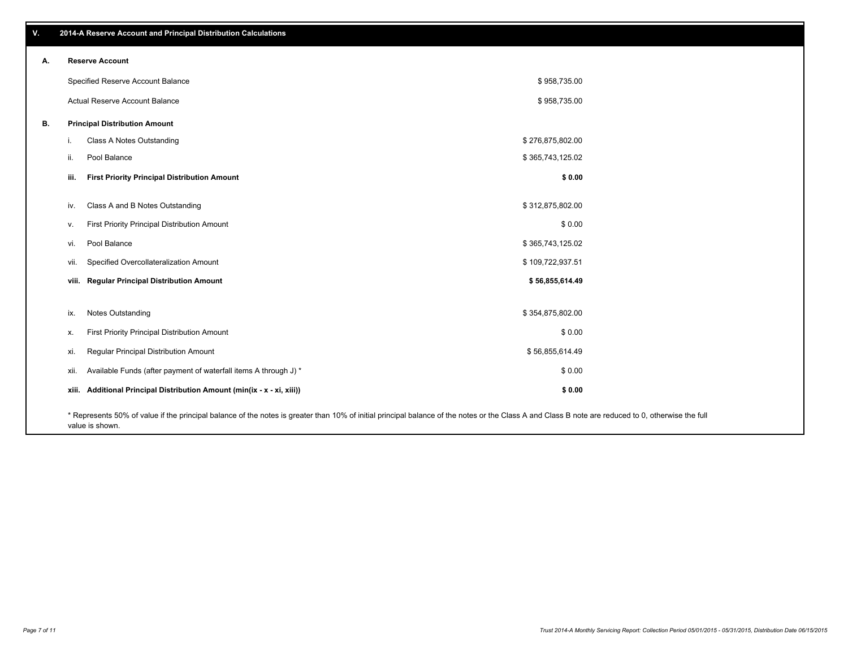**viii. Regular Principal Distribution Amount \$ 56,855,614.49** vii. Specified Overcollateralization Amount **by a 109,722,937.51** (Specified Overcollateralization Amount vi. Pool Balance \$ 365,743,125.02 v. First Priority Principal Distribution Amount **Amount 3 and 2008** 0.00 iv. Class A and B Notes Outstanding and the state of the state of the state of the state of the state of the state of the state of the state of the state of the state of the state of the state of the state of the state of **iii. First Priority Principal Distribution Amount \$ 0.00** \$ 958,735.00 \$ 958,735.00 Specified Reserve Account Balance Actual Reserve Account Balance **B. Principal Distribution Amount** i. Class A Notes Outstanding the state of the state of the state of the state of the state of the state of the state of the state of the state of the state of the state of the state of the state of the state of the state o ii. Pool Balance  $\sim$  365,743,125.02 ix. Notes Outstanding \$ 354,875,802.00 x. First Priority Principal Distribution Amount 6 1000 to the state of the state of the state of the state of the state of the state of the state of the state of the state of the state of the state of the state of the stat xi. Regular Principal Distribution Amount \$ 56,855,614.49 xii. Available Funds (after payment of waterfall items A through J) \* **xiii. Additional Principal Distribution Amount (min(ix - x - xi, xiii)) \$ 0.00** \$ 0.00

\* Represents 50% of value if the principal balance of the notes is greater than 10% of initial principal balance of the notes or the Class A and Class B note are reduced to 0, otherwise the full value is shown.

**A. Reserve Account**

**V. 2014-A Reserve Account and Principal Distribution Calculations**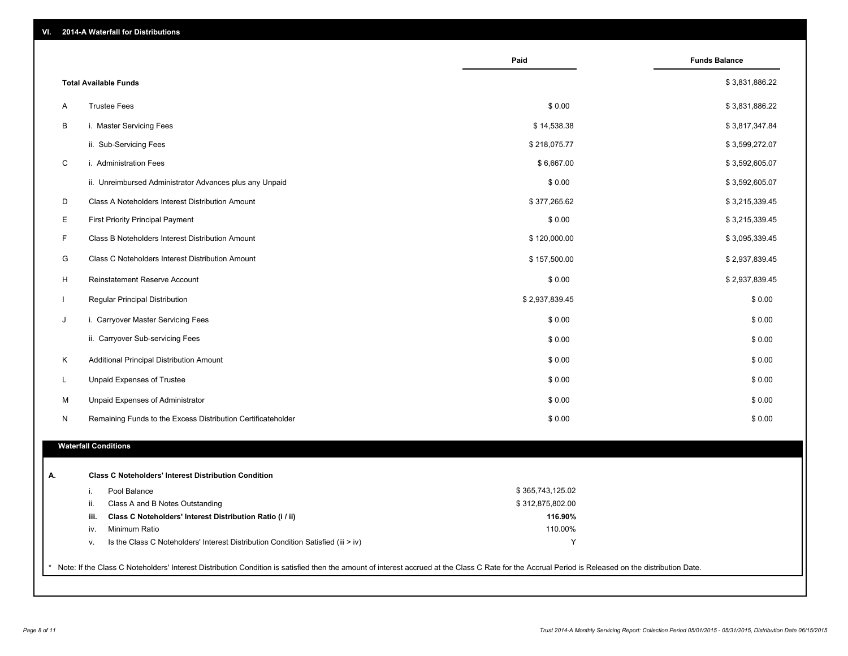| VI. |  |  | 2014-A Waterfall for Distributions |
|-----|--|--|------------------------------------|
|-----|--|--|------------------------------------|

|                                                                                        | Paid             | <b>Funds Balance</b> |
|----------------------------------------------------------------------------------------|------------------|----------------------|
| <b>Total Available Funds</b>                                                           |                  | \$3,831,886.22       |
| <b>Trustee Fees</b><br>A                                                               | \$0.00           | \$3,831,886.22       |
| В<br>i. Master Servicing Fees                                                          | \$14,538.38      | \$3,817,347.84       |
| ii. Sub-Servicing Fees                                                                 | \$218,075.77     | \$3,599,272.07       |
| $\mathbf C$<br>i. Administration Fees                                                  | \$6,667.00       | \$3,592,605.07       |
| ii. Unreimbursed Administrator Advances plus any Unpaid                                | \$0.00           | \$3,592,605.07       |
| D<br>Class A Noteholders Interest Distribution Amount                                  | \$377,265.62     | \$3,215,339.45       |
| Е<br><b>First Priority Principal Payment</b>                                           | \$0.00           | \$3,215,339.45       |
| F<br>Class B Noteholders Interest Distribution Amount                                  | \$120,000.00     | \$3,095,339.45       |
| G<br>Class C Noteholders Interest Distribution Amount                                  | \$157,500.00     | \$2,937,839.45       |
| H<br>Reinstatement Reserve Account                                                     | \$0.00           | \$2,937,839.45       |
| Regular Principal Distribution                                                         | \$2,937,839.45   | \$0.00               |
| J<br>i. Carryover Master Servicing Fees                                                | \$0.00           | \$0.00               |
| ii. Carryover Sub-servicing Fees                                                       | \$0.00           | \$0.00               |
| Κ<br>Additional Principal Distribution Amount                                          | \$0.00           | \$0.00               |
| L<br>Unpaid Expenses of Trustee                                                        | \$0.00           | \$0.00               |
| M<br>Unpaid Expenses of Administrator                                                  | \$0.00           | \$0.00               |
| N<br>Remaining Funds to the Excess Distribution Certificateholder                      | \$0.00           | \$0.00               |
|                                                                                        |                  |                      |
| <b>Waterfall Conditions</b>                                                            |                  |                      |
| <b>Class C Noteholders' Interest Distribution Condition</b>                            |                  |                      |
| Pool Balance<br>i.                                                                     | \$365,743,125.02 |                      |
| ii.<br>Class A and B Notes Outstanding                                                 | \$312,875,802.00 |                      |
| Class C Noteholders' Interest Distribution Ratio (i / ii)<br>iii.                      | 116.90%          |                      |
| Minimum Ratio<br>iv.                                                                   | 110.00%          |                      |
| Is the Class C Noteholders' Interest Distribution Condition Satisfied (iii > iv)<br>v. | Y                |                      |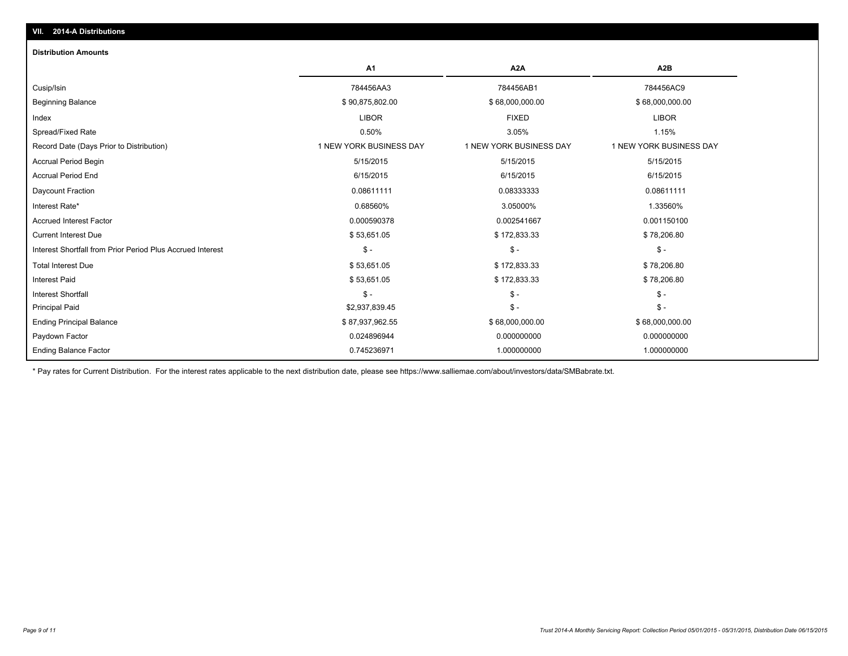| <b>Distribution Amounts</b>                                |                         |                         |                         |
|------------------------------------------------------------|-------------------------|-------------------------|-------------------------|
|                                                            | <b>A1</b>               | A <sub>2</sub> A        | A <sub>2</sub> B        |
| Cusip/Isin                                                 | 784456AA3               | 784456AB1               | 784456AC9               |
| <b>Beginning Balance</b>                                   | \$90,875,802.00         | \$68,000,000.00         | \$68,000,000.00         |
| Index                                                      | <b>LIBOR</b>            | <b>FIXED</b>            | <b>LIBOR</b>            |
| Spread/Fixed Rate                                          | 0.50%                   | 3.05%                   | 1.15%                   |
| Record Date (Days Prior to Distribution)                   | 1 NEW YORK BUSINESS DAY | 1 NEW YORK BUSINESS DAY | 1 NEW YORK BUSINESS DAY |
| <b>Accrual Period Begin</b>                                | 5/15/2015               | 5/15/2015               | 5/15/2015               |
| <b>Accrual Period End</b>                                  | 6/15/2015               | 6/15/2015               | 6/15/2015               |
| Daycount Fraction                                          | 0.08611111              | 0.08333333              | 0.08611111              |
| Interest Rate*                                             | 0.68560%                | 3.05000%                | 1.33560%                |
| <b>Accrued Interest Factor</b>                             | 0.000590378             | 0.002541667             | 0.001150100             |
| <b>Current Interest Due</b>                                | \$53,651.05             | \$172,833.33            | \$78,206.80             |
| Interest Shortfall from Prior Period Plus Accrued Interest | $S -$                   | $\mathsf{\$}$ -         | $\mathsf{\$}$ -         |
| <b>Total Interest Due</b>                                  | \$53,651.05             | \$172,833.33            | \$78,206.80             |
| <b>Interest Paid</b>                                       | \$53,651.05             | \$172,833.33            | \$78,206.80             |
| <b>Interest Shortfall</b>                                  | $S -$                   | $\mathsf{\$}$ -         | $\mathsf{\$}$ -         |
| <b>Principal Paid</b>                                      | \$2,937,839.45          | $\mathbb{S}$ -          | $\mathsf{\$}$ -         |
| <b>Ending Principal Balance</b>                            | \$87,937,962.55         | \$68,000,000.00         | \$68,000,000.00         |
| Paydown Factor                                             | 0.024896944             | 0.000000000             | 0.000000000             |
| <b>Ending Balance Factor</b>                               | 0.745236971             | 1.000000000             | 1.000000000             |

\* Pay rates for Current Distribution. For the interest rates applicable to the next distribution date, please see https://www.salliemae.com/about/investors/data/SMBabrate.txt.

**VII. 2014-A Distributions**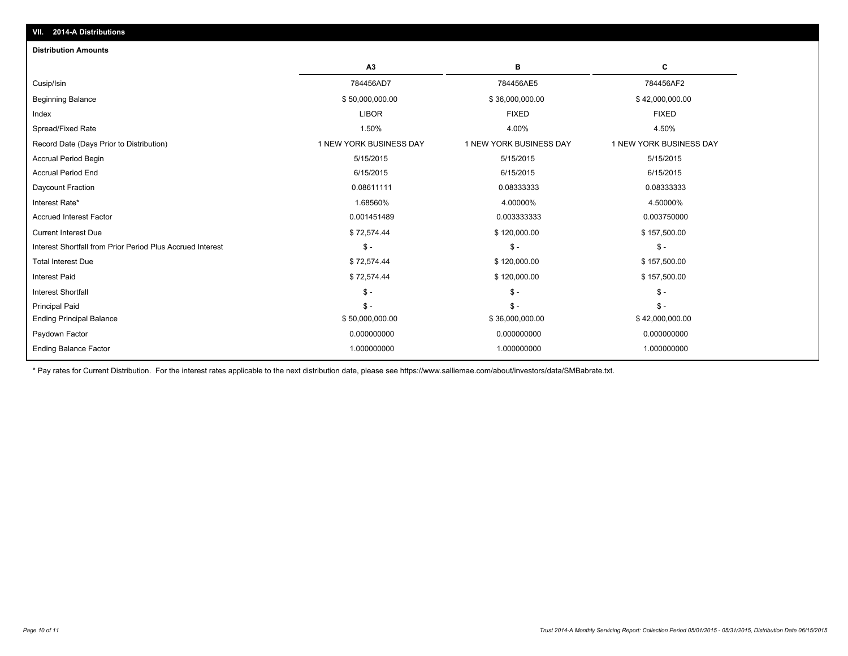| <b>Distribution Amounts</b>                                |                         |                         |                         |
|------------------------------------------------------------|-------------------------|-------------------------|-------------------------|
|                                                            | A3                      | в                       | C                       |
| Cusip/Isin                                                 | 784456AD7               | 784456AE5               | 784456AF2               |
| <b>Beginning Balance</b>                                   | \$50,000,000.00         | \$36,000,000.00         | \$42,000,000.00         |
| Index                                                      | <b>LIBOR</b>            | <b>FIXED</b>            | <b>FIXED</b>            |
| Spread/Fixed Rate                                          | 1.50%                   | 4.00%                   | 4.50%                   |
| Record Date (Days Prior to Distribution)                   | 1 NEW YORK BUSINESS DAY | 1 NEW YORK BUSINESS DAY | 1 NEW YORK BUSINESS DAY |
| <b>Accrual Period Begin</b>                                | 5/15/2015               | 5/15/2015               | 5/15/2015               |
| <b>Accrual Period End</b>                                  | 6/15/2015               | 6/15/2015               | 6/15/2015               |
| Daycount Fraction                                          | 0.08611111              | 0.08333333              | 0.08333333              |
| Interest Rate*                                             | 1.68560%                | 4.00000%                | 4.50000%                |
| <b>Accrued Interest Factor</b>                             | 0.001451489             | 0.003333333             | 0.003750000             |
| <b>Current Interest Due</b>                                | \$72,574.44             | \$120,000.00            | \$157,500.00            |
| Interest Shortfall from Prior Period Plus Accrued Interest | $\mathsf{\$}$ -         | $S -$                   | $\mathcal{S}$ -         |
| <b>Total Interest Due</b>                                  | \$72,574.44             | \$120,000.00            | \$157,500.00            |
| <b>Interest Paid</b>                                       | \$72,574.44             | \$120,000.00            | \$157,500.00            |
| <b>Interest Shortfall</b>                                  | $\mathsf{\$}$ -         | $\mathsf{\$}$ -         | $\mathsf{\$}$ -         |
| <b>Principal Paid</b>                                      | $\mathsf{\$}$ -         | $S -$                   | $S -$                   |
| <b>Ending Principal Balance</b>                            | \$50,000,000.00         | \$36,000,000.00         | \$42,000,000.00         |
| Paydown Factor                                             | 0.000000000             | 0.000000000             | 0.000000000             |
| <b>Ending Balance Factor</b>                               | 1.000000000             | 1.000000000             | 1.000000000             |

\* Pay rates for Current Distribution. For the interest rates applicable to the next distribution date, please see https://www.salliemae.com/about/investors/data/SMBabrate.txt.

**VII. 2014-A Distributions**